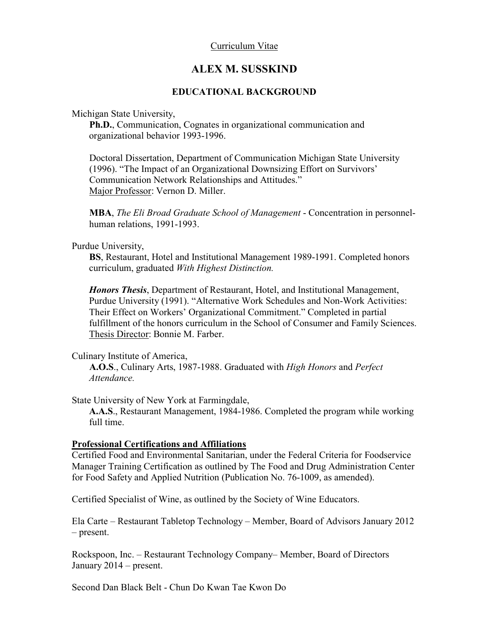# Curriculum Vitae

# **ALEX M. SUSSKIND**

# **EDUCATIONAL BACKGROUND**

Michigan State University,

**Ph.D.**, Communication, Cognates in organizational communication and organizational behavior 1993-1996.

Doctoral Dissertation, Department of Communication Michigan State University (1996). "The Impact of an Organizational Downsizing Effort on Survivors' Communication Network Relationships and Attitudes." Major Professor: Vernon D. Miller.

**MBA**, *The Eli Broad Graduate School of Management* - Concentration in personnelhuman relations, 1991-1993.

Purdue University,

**BS**, Restaurant, Hotel and Institutional Management 1989-1991. Completed honors curriculum, graduated *With Highest Distinction.*

*Honors Thesis*, Department of Restaurant, Hotel, and Institutional Management, Purdue University (1991). "Alternative Work Schedules and Non-Work Activities: Their Effect on Workers' Organizational Commitment." Completed in partial fulfillment of the honors curriculum in the School of Consumer and Family Sciences. Thesis Director: Bonnie M. Farber.

Culinary Institute of America,

**A.O.S**., Culinary Arts, 1987-1988. Graduated with *High Honors* and *Perfect Attendance.*

State University of New York at Farmingdale,

**A.A.S**., Restaurant Management, 1984-1986. Completed the program while working full time.

# **Professional Certifications and Affiliations**

Certified Food and Environmental Sanitarian, under the Federal Criteria for Foodservice Manager Training Certification as outlined by The Food and Drug Administration Center for Food Safety and Applied Nutrition (Publication No. 76-1009, as amended).

Certified Specialist of Wine, as outlined by the Society of Wine Educators.

Ela Carte – Restaurant Tabletop Technology – Member, Board of Advisors January 2012 – present.

Rockspoon, Inc. – Restaurant Technology Company– Member, Board of Directors January 2014 – present.

Second Dan Black Belt - Chun Do Kwan Tae Kwon Do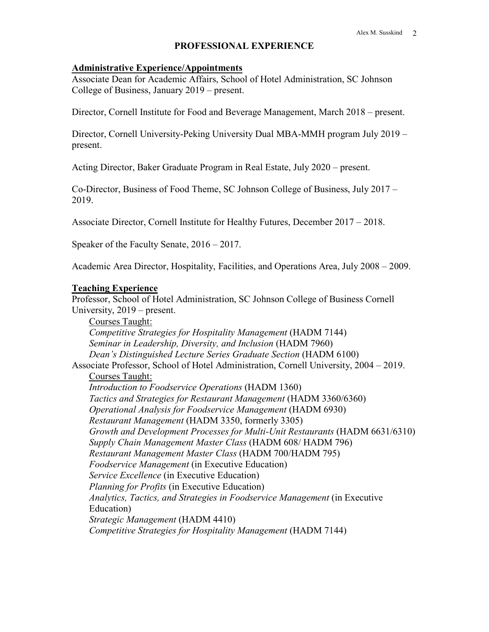### **PROFESSIONAL EXPERIENCE**

#### **Administrative Experience/Appointments**

Associate Dean for Academic Affairs, School of Hotel Administration, SC Johnson College of Business, January 2019 – present.

Director, Cornell Institute for Food and Beverage Management, March 2018 – present.

Director, Cornell University-Peking University Dual MBA-MMH program July 2019 – present.

Acting Director, Baker Graduate Program in Real Estate, July 2020 – present.

Co-Director, Business of Food Theme, SC Johnson College of Business, July 2017 – 2019.

Associate Director, Cornell Institute for Healthy Futures, December 2017 – 2018.

Speaker of the Faculty Senate, 2016 – 2017.

Academic Area Director, Hospitality, Facilities, and Operations Area, July 2008 – 2009.

#### **Teaching Experience**

Professor, School of Hotel Administration, SC Johnson College of Business Cornell University, 2019 – present.

Courses Taught: *Competitive Strategies for Hospitality Management* (HADM 7144) *Seminar in Leadership, Diversity, and Inclusion* (HADM 7960) *Dean's Distinguished Lecture Series Graduate Section* (HADM 6100) Associate Professor, School of Hotel Administration, Cornell University, 2004 – 2019. Courses Taught: *Introduction to Foodservice Operations* (HADM 1360) *Tactics and Strategies for Restaurant Management* (HADM 3360/6360) *Operational Analysis for Foodservice Management* (HADM 6930) *Restaurant Management* (HADM 3350, formerly 3305) *Growth and Development Processes for Multi-Unit Restaurants* (HADM 6631/6310) *Supply Chain Management Master Class* (HADM 608/ HADM 796) *Restaurant Management Master Class* (HADM 700/HADM 795) *Foodservice Management* (in Executive Education) *Service Excellence* (in Executive Education) *Planning for Profits* (in Executive Education) *Analytics, Tactics, and Strategies in Foodservice Management* (in Executive Education) *Strategic Management* (HADM 4410) *Competitive Strategies for Hospitality Management* (HADM 7144)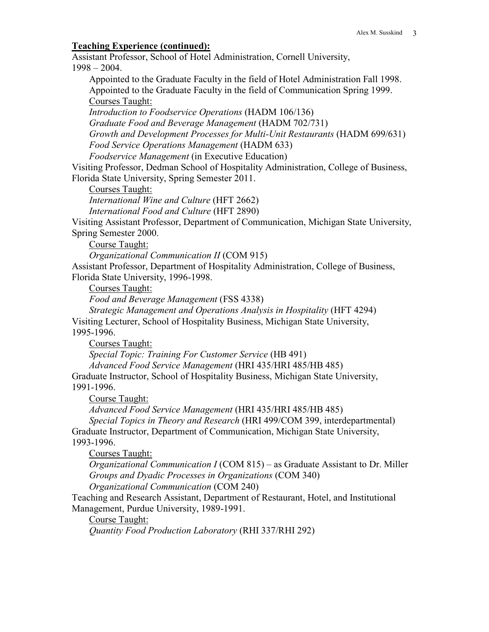### **Teaching Experience (continued):**

Assistant Professor, School of Hotel Administration, Cornell University, 1998 – 2004.

Appointed to the Graduate Faculty in the field of Hotel Administration Fall 1998. Appointed to the Graduate Faculty in the field of Communication Spring 1999. Courses Taught:

*Introduction to Foodservice Operations* (HADM 106/136) *Graduate Food and Beverage Management* (HADM 702/731) *Growth and Development Processes for Multi-Unit Restaurants* (HADM 699/631) *Food Service Operations Management* (HADM 633) *Foodservice Management* (in Executive Education)

Visiting Professor, Dedman School of Hospitality Administration, College of Business, Florida State University, Spring Semester 2011.

Courses Taught:

*International Wine and Culture* (HFT 2662)

*International Food and Culture* (HFT 2890)

Visiting Assistant Professor, Department of Communication, Michigan State University, Spring Semester 2000.

Course Taught:

*Organizational Communication II* (COM 915)

Assistant Professor, Department of Hospitality Administration, College of Business, Florida State University, 1996-1998.

Courses Taught:

*Food and Beverage Management* (FSS 4338)

*Strategic Management and Operations Analysis in Hospitality* (HFT 4294)

Visiting Lecturer, School of Hospitality Business, Michigan State University, 1995-1996.

Courses Taught:

*Special Topic: Training For Customer Service* (HB 491)

*Advanced Food Service Management* (HRI 435/HRI 485/HB 485)

Graduate Instructor, School of Hospitality Business, Michigan State University, 1991-1996.

Course Taught:

*Advanced Food Service Management* (HRI 435/HRI 485/HB 485)

*Special Topics in Theory and Research* (HRI 499/COM 399, interdepartmental) Graduate Instructor, Department of Communication, Michigan State University, 1993-1996.

Courses Taught:

*Organizational Communication I* (COM 815) – as Graduate Assistant to Dr. Miller *Groups and Dyadic Processes in Organizations* (COM 340)

*Organizational Communication* (COM 240)

Teaching and Research Assistant, Department of Restaurant, Hotel, and Institutional Management, Purdue University, 1989-1991.

Course Taught:

*Quantity Food Production Laboratory* (RHI 337/RHI 292)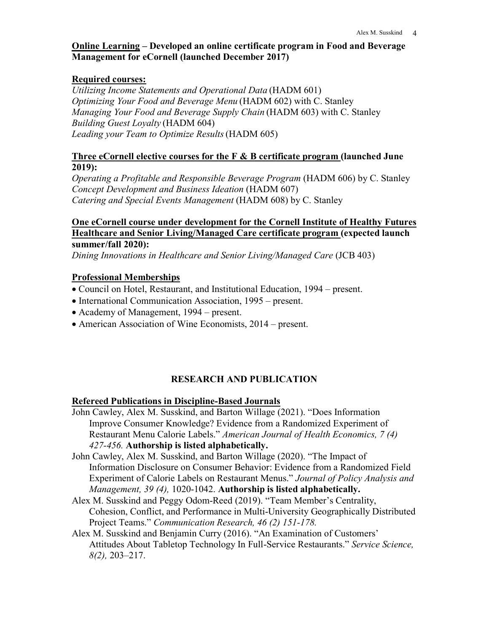# **Online Learning – Developed an online certificate program in Food and Beverage Management for eCornell (launched December 2017)**

# **Required courses:**

*Utilizing Income Statements and Operational Data* (HADM 601) *Optimizing Your Food and Beverage Menu* (HADM 602) with C. Stanley *Managing Your Food and Beverage Supply Chain* (HADM 603) with C. Stanley *Building Guest Loyalty* (HADM 604) *Leading your Team to Optimize Results*(HADM 605)

# **Three eCornell elective courses for the F & B certificate program (launched June 2019):**

*Operating a Profitable and Responsible Beverage Program* (HADM 606) by C. Stanley *Concept Development and Business Ideation* (HADM 607) *Catering and Special Events Management* (HADM 608) by C. Stanley

# **One eCornell course under development for the Cornell Institute of Healthy Futures Healthcare and Senior Living/Managed Care certificate program (expected launch summer/fall 2020):**

*Dining Innovations in Healthcare and Senior Living/Managed Care* (JCB 403)

# **Professional Memberships**

- Council on Hotel, Restaurant, and Institutional Education, 1994 present.
- International Communication Association, 1995 present.
- Academy of Management, 1994 present.
- American Association of Wine Economists, 2014 present.

# **RESEARCH AND PUBLICATION**

# **Refereed Publications in Discipline-Based Journals**

- John Cawley, Alex M. Susskind, and Barton Willage (2021). "Does Information Improve Consumer Knowledge? Evidence from a Randomized Experiment of Restaurant Menu Calorie Labels." *American Journal of Health Economics, 7 (4) 427-456.* **Authorship is listed alphabetically.**
- John Cawley, Alex M. Susskind, and Barton Willage (2020). "The Impact of Information Disclosure on Consumer Behavior: Evidence from a Randomized Field Experiment of Calorie Labels on Restaurant Menus." *Journal of Policy Analysis and Management, 39 (4),* 1020-1042. **Authorship is listed alphabetically.**
- Alex M. Susskind and Peggy Odom-Reed (2019). "Team Member's Centrality, Cohesion, Conflict, and Performance in Multi-University Geographically Distributed Project Teams." *Communication Research, 46 (2) 151-178.*
- Alex M. Susskind and Benjamin Curry (2016). "An Examination of Customers' Attitudes About Tabletop Technology In Full-Service Restaurants." *Service Science, 8(2),* 203–217.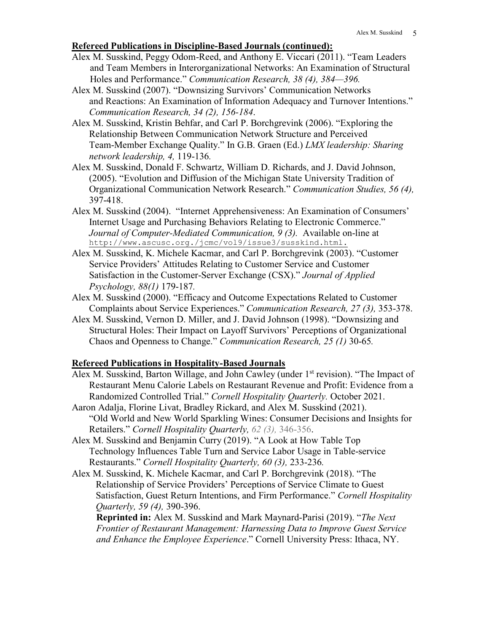#### **Refereed Publications in Discipline-Based Journals (continued):**

- Alex M. Susskind, Peggy Odom-Reed, and Anthony E. Viccari (2011). "Team Leaders and Team Members in Interorganizational Networks: An Examination of Structural Holes and Performance." *Communication Research, 38 (4), 384—396.*
- Alex M. Susskind (2007). "Downsizing Survivors' Communication Networks and Reactions: An Examination of Information Adequacy and Turnover Intentions." *Communication Research, 34 (2), 156-184*.
- Alex M. Susskind, Kristin Behfar, and Carl P. Borchgrevink (2006). "Exploring the Relationship Between Communication Network Structure and Perceived Team-Member Exchange Quality." In G.B. Graen (Ed.) *LMX leadership: Sharing network leadership, 4,* 119-136*.*
- Alex M. Susskind, Donald F. Schwartz, William D. Richards, and J. David Johnson, (2005). "Evolution and Diffusion of the Michigan State University Tradition of Organizational Communication Network Research." *Communication Studies, 56 (4),*  397-418.
- Alex M. Susskind (2004). "Internet Apprehensiveness: An Examination of Consumers' Internet Usage and Purchasing Behaviors Relating to Electronic Commerce." *Journal of Computer-Mediated Communication, 9 (3).* Available on-line at [http://www.ascusc.org./jcmc/vol9/issue3/susskind.html.](http://www.ascusc.org./jcmc/vol9/issue3/susskind.html)
- Alex M. Susskind, K. Michele Kacmar, and Carl P. Borchgrevink (2003). "Customer Service Providers' Attitudes Relating to Customer Service and Customer Satisfaction in the Customer-Server Exchange (CSX)." *Journal of Applied Psychology, 88(1)* 179-187*.*
- Alex M. Susskind (2000). "Efficacy and Outcome Expectations Related to Customer Complaints about Service Experiences." *Communication Research, 27 (3),* 353-378.
- Alex M. Susskind, Vernon D. Miller, and J. David Johnson (1998). "Downsizing and Structural Holes: Their Impact on Layoff Survivors' Perceptions of Organizational Chaos and Openness to Change." *Communication Research, 25 (1)* 30-65*.*

#### **Refereed Publications in Hospitality-Based Journals**

- Alex M. Susskind, Barton Willage, and John Cawley (under 1<sup>st</sup> revision). "The Impact of Restaurant Menu Calorie Labels on Restaurant Revenue and Profit: Evidence from a Randomized Controlled Trial." *Cornell Hospitality Quarterly.* October 2021.
- Aaron Adalja, Florine Livat, Bradley Rickard, and Alex M. Susskind (2021). "Old World and New World Sparkling Wines: Consumer Decisions and Insights for Retailers." *Cornell Hospitality Quarterly, 62 (3),* 346-356.
- Alex M. Susskind and Benjamin Curry (2019). "A Look at How Table Top Technology Influences Table Turn and Service Labor Usage in Table-service Restaurants." *Cornell Hospitality Quarterly, 60 (3),* 233-236*.*
- Alex M. Susskind, K. Michele Kacmar, and Carl P. Borchgrevink (2018). "The Relationship of Service Providers' Perceptions of Service Climate to Guest Satisfaction, Guest Return Intentions, and Firm Performance." *Cornell Hospitality Quarterly, 59 (4),* 390-396.

 **Reprinted in:** Alex M. Susskind and Mark Maynard-Parisi (2019). "*The Next Frontier of Restaurant Management: Harnessing Data to Improve Guest Service and Enhance the Employee Experience*." Cornell University Press: Ithaca, NY.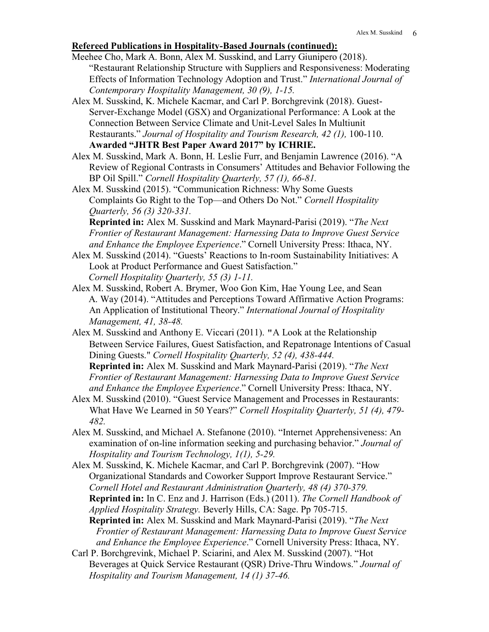# **Refereed Publications in Hospitality-Based Journals (continued):**

- Meehee Cho, Mark A. Bonn, Alex M. Susskind, and Larry Giunipero (2018). "Restaurant Relationship Structure with Suppliers and Responsiveness: Moderating Effects of Information Technology Adoption and Trust." *International Journal of Contemporary Hospitality Management, 30 (9), 1-15.*
- Alex M. Susskind, K. Michele Kacmar, and Carl P. Borchgrevink (2018). Guest-Server-Exchange Model (GSX) and Organizational Performance: A Look at the Connection Between Service Climate and Unit-Level Sales In Multiunit Restaurants." *Journal of Hospitality and Tourism Research, 42 (1),* 100-110. **Awarded "JHTR Best Paper Award 2017" by ICHRIE.**
- Alex M. Susskind, Mark A. Bonn, H. Leslie Furr, and Benjamin Lawrence (2016). "A Review of Regional Contrasts in Consumers' Attitudes and Behavior Following the BP Oil Spill." *Cornell Hospitality Quarterly, 57 (1), 66-81.*
- Alex M. Susskind (2015). "Communication Richness: Why Some Guests Complaints Go Right to the Top—and Others Do Not." *Cornell Hospitality Quarterly, 56 (3) 320-331.*

**Reprinted in:** Alex M. Susskind and Mark Maynard-Parisi (2019). "*The Next Frontier of Restaurant Management: Harnessing Data to Improve Guest Service and Enhance the Employee Experience*." Cornell University Press: Ithaca, NY.

- Alex M. Susskind (2014). "Guests' Reactions to In-room Sustainability Initiatives: A Look at Product Performance and Guest Satisfaction." *Cornell Hospitality Quarterly, 55 (3) 1-11.*
- Alex M. Susskind, Robert A. Brymer, Woo Gon Kim, Hae Young Lee, and Sean A. Way (2014). "Attitudes and Perceptions Toward Affirmative Action Programs: An Application of Institutional Theory." *International Journal of Hospitality Management, 41, 38-48.*
- Alex M. Susskind and Anthony E. Viccari (2011). "A Look at the Relationship Between Service Failures, Guest Satisfaction, and Repatronage Intentions of Casual Dining Guests." *Cornell Hospitality Quarterly, 52 (4), 438-444.* **Reprinted in:** Alex M. Susskind and Mark Maynard-Parisi (2019). "*The Next Frontier of Restaurant Management: Harnessing Data to Improve Guest Service and Enhance the Employee Experience*." Cornell University Press: Ithaca, NY.
- Alex M. Susskind (2010). "Guest Service Management and Processes in Restaurants: What Have We Learned in 50 Years?" *Cornell Hospitality Quarterly, 51 (4), 479- 482.*
- Alex M. Susskind, and Michael A. Stefanone (2010). "Internet Apprehensiveness: An examination of on-line information seeking and purchasing behavior." *Journal of Hospitality and Tourism Technology, 1(1), 5-29.*
- Alex M. Susskind, K. Michele Kacmar, and Carl P. Borchgrevink (2007). "How Organizational Standards and Coworker Support Improve Restaurant Service." *Cornell Hotel and Restaurant Administration Quarterly, 48 (4) 370-379.* **Reprinted in:** In C. Enz and J. Harrison (Eds.) (2011). *The Cornell Handbook of Applied Hospitality Strategy.* Beverly Hills, CA: Sage. Pp 705-715. **Reprinted in:** Alex M. Susskind and Mark Maynard-Parisi (2019). "*The Next Frontier of Restaurant Management: Harnessing Data to Improve Guest Service*
- *and Enhance the Employee Experience*." Cornell University Press: Ithaca, NY. Carl P. Borchgrevink, Michael P. Sciarini, and Alex M. Susskind (2007). "Hot Beverages at Quick Service Restaurant (QSR) Drive-Thru Windows." *Journal of Hospitality and Tourism Management, 14 (1) 37-46.*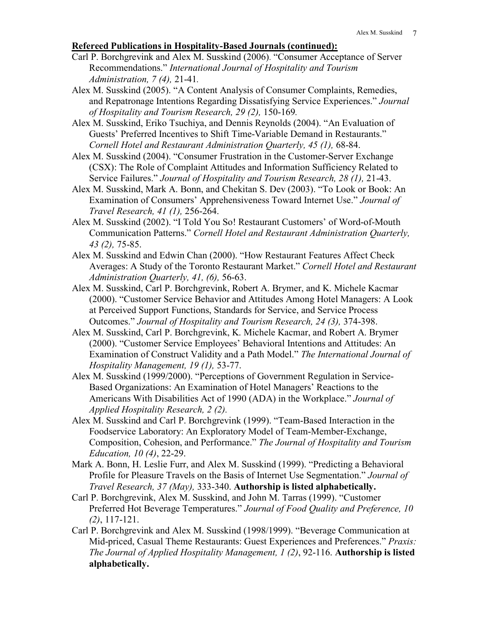# **Refereed Publications in Hospitality-Based Journals (continued):**

- Carl P. Borchgrevink and Alex M. Susskind (2006). "Consumer Acceptance of Server Recommendations." *International Journal of Hospitality and Tourism Administration, 7 (4),* 21-41*.*
- Alex M. Susskind (2005). "A Content Analysis of Consumer Complaints, Remedies, and Repatronage Intentions Regarding Dissatisfying Service Experiences." *Journal of Hospitality and Tourism Research, 29 (2),* 150-169*.*
- Alex M. Susskind, Eriko Tsuchiya, and Dennis Reynolds (2004). "An Evaluation of Guests' Preferred Incentives to Shift Time-Variable Demand in Restaurants." *Cornell Hotel and Restaurant Administration Quarterly, 45 (1),* 68-84.
- Alex M. Susskind (2004). "Consumer Frustration in the Customer-Server Exchange (CSX): The Role of Complaint Attitudes and Information Sufficiency Related to Service Failures." *Journal of Hospitality and Tourism Research, 28 (1),* 21-43.
- Alex M. Susskind, Mark A. Bonn, and Chekitan S. Dev (2003). "To Look or Book: An Examination of Consumers' Apprehensiveness Toward Internet Use." *Journal of Travel Research, 41 (1),* 256-264.
- Alex M. Susskind (2002). "I Told You So! Restaurant Customers' of Word-of-Mouth Communication Patterns." *Cornell Hotel and Restaurant Administration Quarterly, 43 (2),* 75-85.
- Alex M. Susskind and Edwin Chan (2000). "How Restaurant Features Affect Check Averages: A Study of the Toronto Restaurant Market." *Cornell Hotel and Restaurant Administration Quarterly, 41, (6),* 56-63.
- Alex M. Susskind, Carl P. Borchgrevink, Robert A. Brymer, and K. Michele Kacmar (2000). "Customer Service Behavior and Attitudes Among Hotel Managers: A Look at Perceived Support Functions, Standards for Service, and Service Process Outcomes." *Journal of Hospitality and Tourism Research, 24 (3),* 374-398.
- Alex M. Susskind, Carl P. Borchgrevink, K. Michele Kacmar, and Robert A. Brymer (2000). "Customer Service Employees' Behavioral Intentions and Attitudes: An Examination of Construct Validity and a Path Model." *The International Journal of Hospitality Management, 19 (1),* 53-77.
- Alex M. Susskind (1999/2000). "Perceptions of Government Regulation in Service-Based Organizations: An Examination of Hotel Managers' Reactions to the Americans With Disabilities Act of 1990 (ADA) in the Workplace." *Journal of Applied Hospitality Research, 2 (2).*
- Alex M. Susskind and Carl P. Borchgrevink (1999). "Team-Based Interaction in the Foodservice Laboratory: An Exploratory Model of Team-Member-Exchange, Composition, Cohesion, and Performance." *The Journal of Hospitality and Tourism Education, 10 (4)*, 22-29.
- Mark A. Bonn, H. Leslie Furr, and Alex M. Susskind (1999). "Predicting a Behavioral Profile for Pleasure Travels on the Basis of Internet Use Segmentation." *Journal of Travel Research, 37 (May),* 333-340. **Authorship is listed alphabetically.**
- Carl P. Borchgrevink, Alex M. Susskind, and John M. Tarras (1999). "Customer Preferred Hot Beverage Temperatures." *Journal of Food Quality and Preference, 10 (2)*, 117-121.
- Carl P. Borchgrevink and Alex M. Susskind (1998/1999). "Beverage Communication at Mid-priced, Casual Theme Restaurants: Guest Experiences and Preferences." *Praxis: The Journal of Applied Hospitality Management, 1 (2)*, 92-116. **Authorship is listed alphabetically.**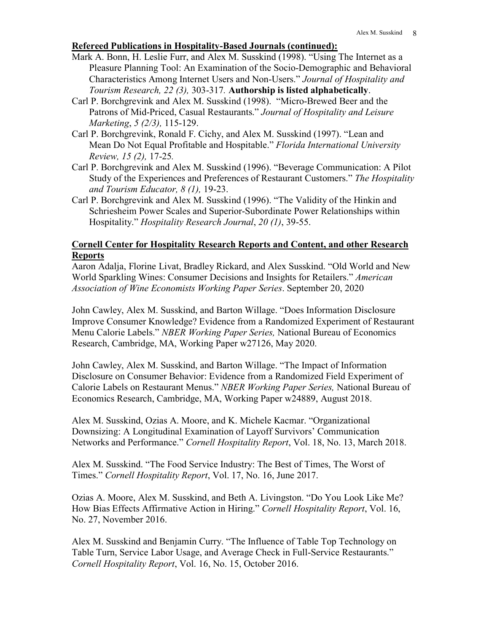# **Refereed Publications in Hospitality-Based Journals (continued):**

- Mark A. Bonn, H. Leslie Furr, and Alex M. Susskind (1998). "Using The Internet as a Pleasure Planning Tool: An Examination of the Socio-Demographic and Behavioral Characteristics Among Internet Users and Non-Users." *Journal of Hospitality and Tourism Research, 22 (3),* 303-317*.* **Authorship is listed alphabetically**.
- Carl P. Borchgrevink and Alex M. Susskind (1998). "Micro-Brewed Beer and the Patrons of Mid-Priced, Casual Restaurants." *Journal of Hospitality and Leisure Marketing*, *5 (2/3),* 115-129.
- Carl P. Borchgrevink, Ronald F. Cichy, and Alex M. Susskind (1997). "Lean and Mean Do Not Equal Profitable and Hospitable." *Florida International University Review, 15 (2),* 17-25*.*
- Carl P. Borchgrevink and Alex M. Susskind (1996). "Beverage Communication: A Pilot Study of the Experiences and Preferences of Restaurant Customers." *The Hospitality and Tourism Educator, 8 (1),* 19-23.
- Carl P. Borchgrevink and Alex M. Susskind (1996). "The Validity of the Hinkin and Schriesheim Power Scales and Superior-Subordinate Power Relationships within Hospitality." *Hospitality Research Journal*, *20 (1)*, 39-55.

# **Cornell Center for Hospitality Research Reports and Content, and other Research Reports**

Aaron Adalja, Florine Livat, Bradley Rickard, and Alex Susskind. "Old World and New World Sparkling Wines: Consumer Decisions and Insights for Retailers." *American Association of Wine Economists Working Paper Series*. September 20, 2020

John Cawley, Alex M. Susskind, and Barton Willage. "Does Information Disclosure Improve Consumer Knowledge? Evidence from a Randomized Experiment of Restaurant Menu Calorie Labels." *NBER Working Paper Series,* National Bureau of Economics Research, Cambridge, MA, Working Paper w27126, May 2020.

John Cawley, Alex M. Susskind, and Barton Willage. "The Impact of Information Disclosure on Consumer Behavior: Evidence from a Randomized Field Experiment of Calorie Labels on Restaurant Menus." *NBER Working Paper Series,* National Bureau of Economics Research, Cambridge, MA, Working Paper w24889, August 2018.

Alex M. Susskind, Ozias A. Moore, and K. Michele Kacmar. "Organizational Downsizing: A Longitudinal Examination of Layoff Survivors' Communication Networks and Performance." *Cornell Hospitality Report*, Vol. 18, No. 13, March 2018.

Alex M. Susskind. "The Food Service Industry: The Best of Times, The Worst of Times." *Cornell Hospitality Report*, Vol. 17, No. 16, June 2017.

Ozias A. Moore, Alex M. Susskind, and Beth A. Livingston. "Do You Look Like Me? How Bias Effects Affirmative Action in Hiring." *Cornell Hospitality Report*, Vol. 16, No. 27, November 2016.

Alex M. Susskind and Benjamin Curry. "The Influence of Table Top Technology on Table Turn, Service Labor Usage, and Average Check in Full-Service Restaurants." *Cornell Hospitality Report*, Vol. 16, No. 15, October 2016.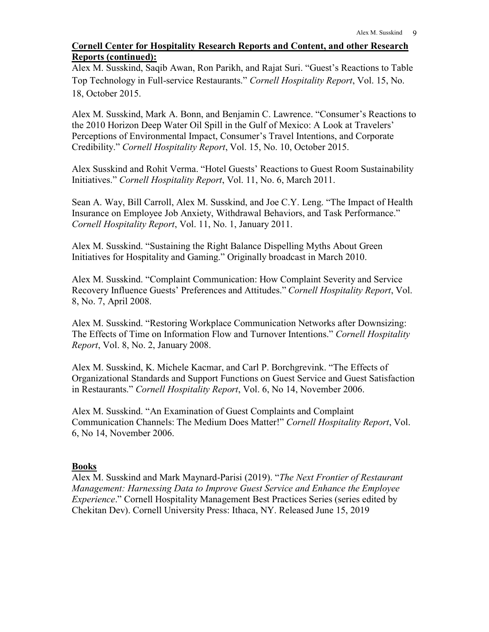# **Cornell Center for Hospitality Research Reports and Content, and other Research Reports (continued):**

Alex M. Susskind, Saqib Awan, Ron Parikh, and Rajat Suri. "Guest's Reactions to Table Top Technology in Full-service Restaurants." *Cornell Hospitality Report*, Vol. 15, No. 18, October 2015.

Alex M. Susskind, Mark A. Bonn, and Benjamin C. Lawrence. "Consumer's Reactions to the 2010 Horizon Deep Water Oil Spill in the Gulf of Mexico: A Look at Travelers' Perceptions of Environmental Impact, Consumer's Travel Intentions, and Corporate Credibility." *Cornell Hospitality Report*, Vol. 15, No. 10, October 2015.

Alex Susskind and Rohit Verma. "Hotel Guests' Reactions to Guest Room Sustainability Initiatives." *Cornell Hospitality Report*, Vol. 11, No. 6, March 2011.

Sean A. Way, Bill Carroll, Alex M. Susskind, and Joe C.Y. Leng. "The Impact of Health Insurance on Employee Job Anxiety, Withdrawal Behaviors, and Task Performance." *Cornell Hospitality Report*, Vol. 11, No. 1, January 2011.

Alex M. Susskind. "Sustaining the Right Balance Dispelling Myths About Green Initiatives for Hospitality and Gaming." Originally broadcast in March 2010.

Alex M. Susskind. "Complaint Communication: How Complaint Severity and Service Recovery Influence Guests' Preferences and Attitudes." *Cornell Hospitality Report*, Vol. 8, No. 7, April 2008.

Alex M. Susskind. "Restoring Workplace Communication Networks after Downsizing: The Effects of Time on Information Flow and Turnover Intentions." *Cornell Hospitality Report*, Vol. 8, No. 2, January 2008.

Alex M. Susskind, K. Michele Kacmar, and Carl P. Borchgrevink. "The Effects of Organizational Standards and Support Functions on Guest Service and Guest Satisfaction in Restaurants." *Cornell Hospitality Report*, Vol. 6, No 14, November 2006.

Alex M. Susskind. "An Examination of Guest Complaints and Complaint Communication Channels: The Medium Does Matter!" *Cornell Hospitality Report*, Vol. 6, No 14, November 2006.

# **Books**

Alex M. Susskind and Mark Maynard-Parisi (2019). "*The Next Frontier of Restaurant Management: Harnessing Data to Improve Guest Service and Enhance the Employee Experience*." Cornell Hospitality Management Best Practices Series (series edited by Chekitan Dev). Cornell University Press: Ithaca, NY. Released June 15, 2019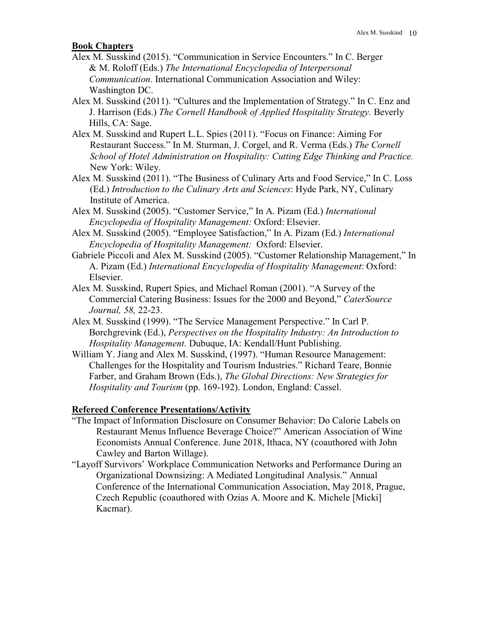### **Book Chapters**

- Alex M. Susskind (2015). "Communication in Service Encounters." In C. Berger & M. Roloff (Eds.) *The International Encyclopedia of Interpersonal Communication*. International Communication Association and Wiley: Washington DC.
- Alex M. Susskind (2011). "Cultures and the Implementation of Strategy." In C. Enz and J. Harrison (Eds.) *The Cornell Handbook of Applied Hospitality Strategy.* Beverly Hills, CA: Sage.
- Alex M. Susskind and Rupert L.L. Spies (2011). "Focus on Finance: Aiming For Restaurant Success." In M. Sturman, J. Corgel, and R. Verma (Eds.) *The Cornell School of Hotel Administration on Hospitality: Cutting Edge Thinking and Practice.* New York: Wiley.
- Alex M. Susskind (2011). "The Business of Culinary Arts and Food Service," In C. Loss (Ed.) *Introduction to the Culinary Arts and Sciences*: Hyde Park, NY, Culinary Institute of America.
- Alex M. Susskind (2005). "Customer Service," In A. Pizam (Ed.) *International Encyclopedia of Hospitality Management:* Oxford: Elsevier.
- Alex M. Susskind (2005). "Employee Satisfaction," In A. Pizam (Ed.) *International Encyclopedia of Hospitality Management:* Oxford: Elsevier.
- Gabriele Piccoli and Alex M. Susskind (2005). "Customer Relationship Management," In A. Pizam (Ed.) *International Encyclopedia of Hospitality Management*: Oxford: Elsevier.
- Alex M. Susskind, Rupert Spies, and Michael Roman (2001). "A Survey of the Commercial Catering Business: Issues for the 2000 and Beyond," *CaterSource Journal, 58,* 22-23.
- Alex M. Susskind (1999). "The Service Management Perspective." In Carl P. Borchgrevink (Ed.), *Perspectives on the Hospitality Industry: An Introduction to Hospitality Management.* Dubuque, IA: Kendall/Hunt Publishing.
- William Y. Jiang and Alex M. Susskind, (1997). "Human Resource Management: Challenges for the Hospitality and Tourism Industries." Richard Teare, Bonnie Farber, and Graham Brown (Eds.), *The Global Directions: New Strategies for Hospitality and Tourism* (pp. 169-192). London, England: Cassel.

# **Refereed Conference Presentations/Activity**

- "The Impact of Information Disclosure on Consumer Behavior: Do Calorie Labels on Restaurant Menus Influence Beverage Choice?" American Association of Wine Economists Annual Conference. June 2018, Ithaca, NY (coauthored with John Cawley and Barton Willage).
- "Layoff Survivors' Workplace Communication Networks and Performance During an Organizational Downsizing: A Mediated Longitudinal Analysis." Annual Conference of the International Communication Association, May 2018, Prague, Czech Republic (coauthored with Ozias A. Moore and K. Michele [Micki] Kacmar).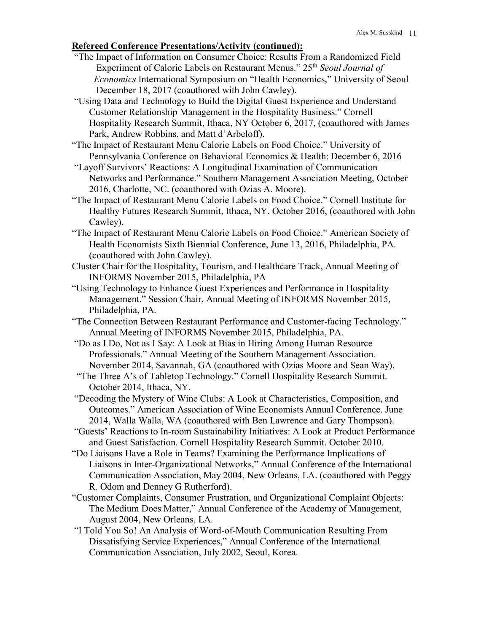# **Refereed Conference Presentations/Activity (continued):**

- "The Impact of Information on Consumer Choice: Results From a Randomized Field Experiment of Calorie Labels on Restaurant Menus." 25th *Seoul Journal of Economics* International Symposium on "Health Economics," University of Seoul December 18, 2017 (coauthored with John Cawley).
- "Using Data and Technology to Build the Digital Guest Experience and Understand Customer Relationship Management in the Hospitality Business." Cornell Hospitality Research Summit, Ithaca, NY October 6, 2017, (coauthored with James Park, Andrew Robbins, and Matt d'Arbeloff).
- "The Impact of Restaurant Menu Calorie Labels on Food Choice." University of Pennsylvania Conference on Behavioral Economics & Health: December 6, 2016
- "Layoff Survivors' Reactions: A Longitudinal Examination of Communication Networks and Performance." Southern Management Association Meeting, October 2016, Charlotte, NC. (coauthored with Ozias A. Moore).
- "The Impact of Restaurant Menu Calorie Labels on Food Choice." Cornell Institute for Healthy Futures Research Summit, Ithaca, NY. October 2016, (coauthored with John Cawley).
- "The Impact of Restaurant Menu Calorie Labels on Food Choice." American Society of Health Economists Sixth Biennial Conference, June 13, 2016, Philadelphia, PA. (coauthored with John Cawley).
- Cluster Chair for the Hospitality, Tourism, and Healthcare Track, Annual Meeting of INFORMS November 2015, Philadelphia, PA
- "Using Technology to Enhance Guest Experiences and Performance in Hospitality Management." Session Chair, Annual Meeting of INFORMS November 2015, Philadelphia, PA.
- "The Connection Between Restaurant Performance and Customer-facing Technology." Annual Meeting of INFORMS November 2015, Philadelphia, PA.
- "Do as I Do, Not as I Say: A Look at Bias in Hiring Among Human Resource Professionals." Annual Meeting of the Southern Management Association. November 2014, Savannah, GA (coauthored with Ozias Moore and Sean Way).
- "The Three A's of Tabletop Technology." Cornell Hospitality Research Summit. October 2014, Ithaca, NY.
- "Decoding the Mystery of Wine Clubs: A Look at Characteristics, Composition, and Outcomes." American Association of Wine Economists Annual Conference. June 2014, Walla Walla, WA (coauthored with Ben Lawrence and Gary Thompson).
- "Guests' Reactions to In-room Sustainability Initiatives: A Look at Product Performance and Guest Satisfaction. Cornell Hospitality Research Summit. October 2010.
- "Do Liaisons Have a Role in Teams? Examining the Performance Implications of Liaisons in Inter-Organizational Networks," Annual Conference of the International Communication Association, May 2004, New Orleans, LA. (coauthored with Peggy R. Odom and Denney G Rutherford).
- "Customer Complaints, Consumer Frustration, and Organizational Complaint Objects: The Medium Does Matter," Annual Conference of the Academy of Management, August 2004, New Orleans, LA.
- "I Told You So! An Analysis of Word-of-Mouth Communication Resulting From Dissatisfying Service Experiences," Annual Conference of the International Communication Association, July 2002, Seoul, Korea.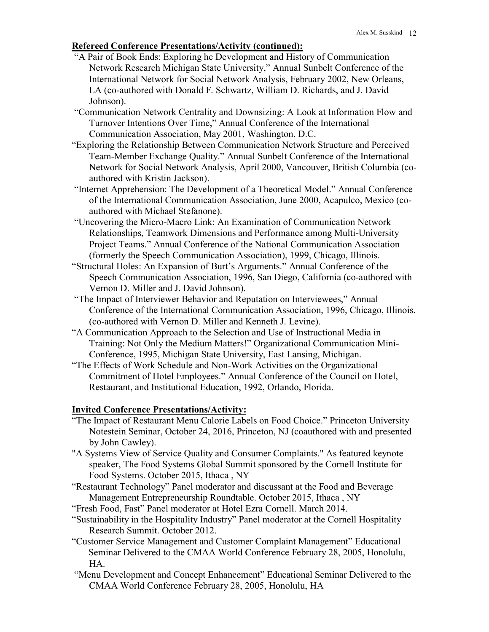# **Refereed Conference Presentations/Activity (continued):**

- "A Pair of Book Ends: Exploring he Development and History of Communication Network Research Michigan State University," Annual Sunbelt Conference of the International Network for Social Network Analysis, February 2002, New Orleans, LA (co-authored with Donald F. Schwartz, William D. Richards, and J. David Johnson).
- "Communication Network Centrality and Downsizing: A Look at Information Flow and Turnover Intentions Over Time," Annual Conference of the International Communication Association, May 2001, Washington, D.C.
- "Exploring the Relationship Between Communication Network Structure and Perceived Team-Member Exchange Quality." Annual Sunbelt Conference of the International Network for Social Network Analysis, April 2000, Vancouver, British Columbia (coauthored with Kristin Jackson).
- "Internet Apprehension: The Development of a Theoretical Model." Annual Conference of the International Communication Association, June 2000, Acapulco, Mexico (coauthored with Michael Stefanone).
- "Uncovering the Micro-Macro Link: An Examination of Communication Network Relationships, Teamwork Dimensions and Performance among Multi-University Project Teams." Annual Conference of the National Communication Association (formerly the Speech Communication Association), 1999, Chicago, Illinois.
- "Structural Holes: An Expansion of Burt's Arguments." Annual Conference of the Speech Communication Association, 1996, San Diego, California (co-authored with Vernon D. Miller and J. David Johnson).
- "The Impact of Interviewer Behavior and Reputation on Interviewees," Annual Conference of the International Communication Association, 1996, Chicago, Illinois. (co-authored with Vernon D. Miller and Kenneth J. Levine).
- "A Communication Approach to the Selection and Use of Instructional Media in Training: Not Only the Medium Matters!" Organizational Communication Mini-Conference, 1995, Michigan State University, East Lansing, Michigan.
- "The Effects of Work Schedule and Non-Work Activities on the Organizational Commitment of Hotel Employees." Annual Conference of the Council on Hotel, Restaurant, and Institutional Education, 1992, Orlando, Florida.

#### **Invited Conference Presentations/Activity:**

- "The Impact of Restaurant Menu Calorie Labels on Food Choice." Princeton University Notestein Seminar, October 24, 2016, Princeton, NJ (coauthored with and presented by John Cawley).
- "A Systems View of Service Quality and Consumer Complaints." As featured keynote speaker, The Food Systems Global Summit sponsored by the Cornell Institute for Food Systems. October 2015, Ithaca , NY
- "Restaurant Technology" Panel moderator and discussant at the Food and Beverage Management Entrepreneurship Roundtable. October 2015, Ithaca , NY
- "Fresh Food, Fast" Panel moderator at Hotel Ezra Cornell. March 2014.
- "Sustainability in the Hospitality Industry" Panel moderator at the Cornell Hospitality Research Summit. October 2012.
- "Customer Service Management and Customer Complaint Management" Educational Seminar Delivered to the CMAA World Conference February 28, 2005, Honolulu, HA.
- "Menu Development and Concept Enhancement" Educational Seminar Delivered to the CMAA World Conference February 28, 2005, Honolulu, HA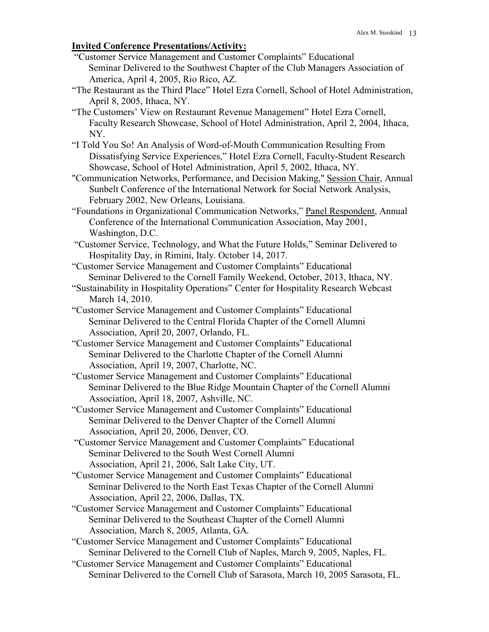# **Invited Conference Presentations/Activity:**

- "Customer Service Management and Customer Complaints" Educational Seminar Delivered to the Southwest Chapter of the Club Managers Association of America, April 4, 2005, Rio Rico, AZ.
- "The Restaurant as the Third Place" Hotel Ezra Cornell, School of Hotel Administration, April 8, 2005, Ithaca, NY.
- "The Customers' View on Restaurant Revenue Management" Hotel Ezra Cornell, Faculty Research Showcase, School of Hotel Administration, April 2, 2004, Ithaca, NY.
- "I Told You So! An Analysis of Word-of-Mouth Communication Resulting From Dissatisfying Service Experiences," Hotel Ezra Cornell, Faculty-Student Research Showcase, School of Hotel Administration, April 5, 2002, Ithaca, NY.
- "Communication Networks, Performance, and Decision Making," Session Chair, Annual Sunbelt Conference of the International Network for Social Network Analysis, February 2002, New Orleans, Louisiana.
- "Foundations in Organizational Communication Networks," Panel Respondent, Annual Conference of the International Communication Association, May 2001, Washington, D.C.
- "Customer Service, Technology, and What the Future Holds," Seminar Delivered to Hospitality Day, in Rimini, Italy. October 14, 2017.
- "Customer Service Management and Customer Complaints" Educational Seminar Delivered to the Cornell Family Weekend, October, 2013, Ithaca, NY.
- "Sustainability in Hospitality Operations" Center for Hospitality Research Webcast March 14, 2010.
- "Customer Service Management and Customer Complaints" Educational Seminar Delivered to the Central Florida Chapter of the Cornell Alumni Association, April 20, 2007, Orlando, FL.
- "Customer Service Management and Customer Complaints" Educational Seminar Delivered to the Charlotte Chapter of the Cornell Alumni Association, April 19, 2007, Charlotte, NC.
- "Customer Service Management and Customer Complaints" Educational Seminar Delivered to the Blue Ridge Mountain Chapter of the Cornell Alumni Association, April 18, 2007, Ashville, NC.
- "Customer Service Management and Customer Complaints" Educational Seminar Delivered to the Denver Chapter of the Cornell Alumni Association, April 20, 2006, Denver, CO.
- "Customer Service Management and Customer Complaints" Educational Seminar Delivered to the South West Cornell Alumni Association, April 21, 2006, Salt Lake City, UT.
- "Customer Service Management and Customer Complaints" Educational Seminar Delivered to the North East Texas Chapter of the Cornell Alumni Association, April 22, 2006, Dallas, TX.
- "Customer Service Management and Customer Complaints" Educational Seminar Delivered to the Southeast Chapter of the Cornell Alumni Association, March 8, 2005, Atlanta, GA.
- "Customer Service Management and Customer Complaints" Educational Seminar Delivered to the Cornell Club of Naples, March 9, 2005, Naples, FL.
- "Customer Service Management and Customer Complaints" Educational Seminar Delivered to the Cornell Club of Sarasota, March 10, 2005 Sarasota, FL.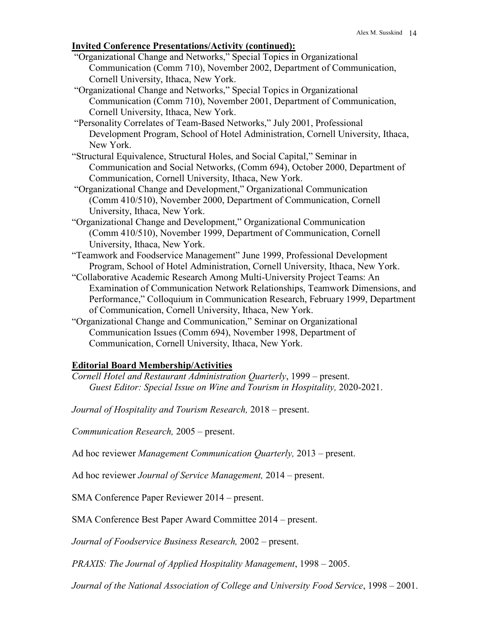# **Invited Conference Presentations/Activity (continued):**

- "Organizational Change and Networks," Special Topics in Organizational Communication (Comm 710), November 2002, Department of Communication, Cornell University, Ithaca, New York.
- "Organizational Change and Networks," Special Topics in Organizational Communication (Comm 710), November 2001, Department of Communication, Cornell University, Ithaca, New York.
- "Personality Correlates of Team-Based Networks," July 2001, Professional Development Program, School of Hotel Administration, Cornell University, Ithaca, New York.
- "Structural Equivalence, Structural Holes, and Social Capital," Seminar in Communication and Social Networks, (Comm 694), October 2000, Department of Communication, Cornell University, Ithaca, New York.
- "Organizational Change and Development," Organizational Communication (Comm 410/510), November 2000, Department of Communication, Cornell University, Ithaca, New York.
- "Organizational Change and Development," Organizational Communication (Comm 410/510), November 1999, Department of Communication, Cornell University, Ithaca, New York.
- "Teamwork and Foodservice Management" June 1999, Professional Development Program, School of Hotel Administration, Cornell University, Ithaca, New York.
- "Collaborative Academic Research Among Multi-University Project Teams: An Examination of Communication Network Relationships, Teamwork Dimensions, and Performance," Colloquium in Communication Research, February 1999, Department of Communication, Cornell University, Ithaca, New York.
- "Organizational Change and Communication," Seminar on Organizational Communication Issues (Comm 694), November 1998, Department of Communication, Cornell University, Ithaca, New York.

# **Editorial Board Membership/Activities**

*Cornell Hotel and Restaurant Administration Quarterly*, 1999 – present. *Guest Editor: Special Issue on Wine and Tourism in Hospitality,* 2020-2021.

*Journal of Hospitality and Tourism Research,* 2018 – present.

*Communication Research,* 2005 – present.

Ad hoc reviewer *Management Communication Quarterly,* 2013 – present.

Ad hoc reviewer *Journal of Service Management,* 2014 – present.

SMA Conference Paper Reviewer 2014 – present.

SMA Conference Best Paper Award Committee 2014 – present.

*Journal of Foodservice Business Research,* 2002 – present.

*PRAXIS: The Journal of Applied Hospitality Management*, 1998 – 2005.

*Journal of the National Association of College and University Food Service*, 1998 – 2001.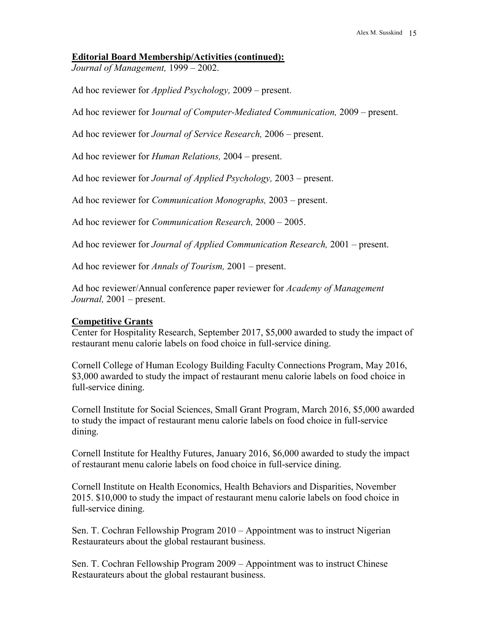#### **Editorial Board Membership/Activities (continued):**

*Journal of Management,* 1999 – 2002.

Ad hoc reviewer for *Applied Psychology,* 2009 – present.

Ad hoc reviewer for J*ournal of Computer-Mediated Communication,* 2009 – present.

Ad hoc reviewer for *Journal of Service Research,* 2006 – present.

Ad hoc reviewer for *Human Relations,* 2004 – present.

Ad hoc reviewer for *Journal of Applied Psychology,* 2003 – present.

Ad hoc reviewer for *Communication Monographs,* 2003 – present.

Ad hoc reviewer for *Communication Research,* 2000 – 2005.

Ad hoc reviewer for *Journal of Applied Communication Research,* 2001 – present.

Ad hoc reviewer for *Annals of Tourism,* 2001 – present.

Ad hoc reviewer/Annual conference paper reviewer for *Academy of Management Journal,* 2001 – present.

#### **Competitive Grants**

Center for Hospitality Research, September 2017, \$5,000 awarded to study the impact of restaurant menu calorie labels on food choice in full-service dining.

Cornell College of Human Ecology Building Faculty Connections Program, May 2016, \$3,000 awarded to study the impact of restaurant menu calorie labels on food choice in full-service dining.

Cornell Institute for Social Sciences, Small Grant Program, March 2016, \$5,000 awarded to study the impact of restaurant menu calorie labels on food choice in full-service dining.

Cornell Institute for Healthy Futures, January 2016, \$6,000 awarded to study the impact of restaurant menu calorie labels on food choice in full-service dining.

Cornell Institute on Health Economics, Health Behaviors and Disparities, November 2015. \$10,000 to study the impact of restaurant menu calorie labels on food choice in full-service dining.

Sen. T. Cochran Fellowship Program 2010 – Appointment was to instruct Nigerian Restaurateurs about the global restaurant business.

Sen. T. Cochran Fellowship Program 2009 – Appointment was to instruct Chinese Restaurateurs about the global restaurant business.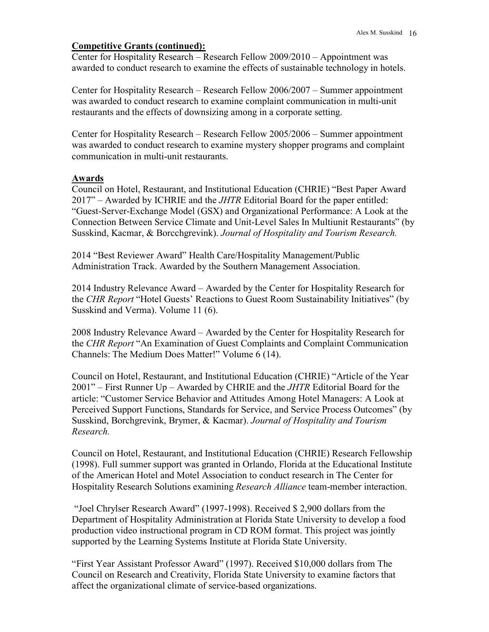# **Competitive Grants (continued):**

Center for Hospitality Research – Research Fellow 2009/2010 – Appointment was awarded to conduct research to examine the effects of sustainable technology in hotels.

Center for Hospitality Research – Research Fellow 2006/2007 – Summer appointment was awarded to conduct research to examine complaint communication in multi-unit restaurants and the effects of downsizing among in a corporate setting.

Center for Hospitality Research – Research Fellow 2005/2006 – Summer appointment was awarded to conduct research to examine mystery shopper programs and complaint communication in multi-unit restaurants.

# **Awards**

Council on Hotel, Restaurant, and Institutional Education (CHRIE) "Best Paper Award 2017" – Awarded by ICHRIE and the *JHTR* Editorial Board for the paper entitled: "Guest-Server-Exchange Model (GSX) and Organizational Performance: A Look at the Connection Between Service Climate and Unit-Level Sales In Multiunit Restaurants" (by Susskind, Kacmar, & Borcchgrevink). *Journal of Hospitality and Tourism Research.* 

2014 "Best Reviewer Award" Health Care/Hospitality Management/Public Administration Track. Awarded by the Southern Management Association.

2014 Industry Relevance Award – Awarded by the Center for Hospitality Research for the *CHR Report* "Hotel Guests' Reactions to Guest Room Sustainability Initiatives" (by Susskind and Verma). Volume 11 (6).

2008 Industry Relevance Award – Awarded by the Center for Hospitality Research for the *CHR Report* "An Examination of Guest Complaints and Complaint Communication Channels: The Medium Does Matter!" Volume 6 (14).

Council on Hotel, Restaurant, and Institutional Education (CHRIE) "Article of the Year 2001" – First Runner Up – Awarded by CHRIE and the *JHTR* Editorial Board for the article: "Customer Service Behavior and Attitudes Among Hotel Managers: A Look at Perceived Support Functions, Standards for Service, and Service Process Outcomes" (by Susskind, Borchgrevink, Brymer, & Kacmar). *Journal of Hospitality and Tourism Research.*

Council on Hotel, Restaurant, and Institutional Education (CHRIE) Research Fellowship (1998). Full summer support was granted in Orlando, Florida at the Educational Institute of the American Hotel and Motel Association to conduct research in The Center for Hospitality Research Solutions examining *Research Alliance* team-member interaction.

"Joel Chrylser Research Award" (1997-1998). Received \$ 2,900 dollars from the Department of Hospitality Administration at Florida State University to develop a food production video instructional program in CD ROM format. This project was jointly supported by the Learning Systems Institute at Florida State University.

"First Year Assistant Professor Award" (1997). Received \$10,000 dollars from The Council on Research and Creativity, Florida State University to examine factors that affect the organizational climate of service-based organizations.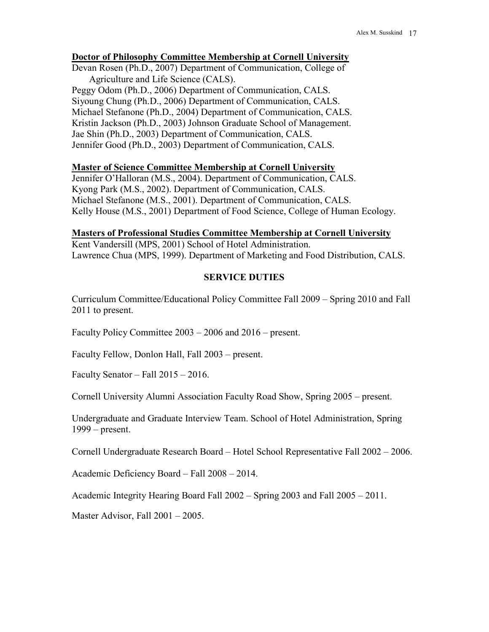### **Doctor of Philosophy Committee Membership at Cornell University**

Devan Rosen (Ph.D., 2007) Department of Communication, College of Agriculture and Life Science (CALS). Peggy Odom (Ph.D., 2006) Department of Communication, CALS. Siyoung Chung (Ph.D., 2006) Department of Communication, CALS. Michael Stefanone (Ph.D., 2004) Department of Communication, CALS. Kristin Jackson (Ph.D., 2003) Johnson Graduate School of Management. Jae Shin (Ph.D., 2003) Department of Communication, CALS. Jennifer Good (Ph.D., 2003) Department of Communication, CALS.

### **Master of Science Committee Membership at Cornell University**

Jennifer O'Halloran (M.S., 2004). Department of Communication, CALS. Kyong Park (M.S., 2002). Department of Communication, CALS. Michael Stefanone (M.S., 2001). Department of Communication, CALS. Kelly House (M.S., 2001) Department of Food Science, College of Human Ecology.

### **Masters of Professional Studies Committee Membership at Cornell University**

Kent Vandersill (MPS, 2001) School of Hotel Administration. Lawrence Chua (MPS, 1999). Department of Marketing and Food Distribution, CALS.

# **SERVICE DUTIES**

Curriculum Committee/Educational Policy Committee Fall 2009 – Spring 2010 and Fall 2011 to present.

Faculty Policy Committee 2003 – 2006 and 2016 – present.

Faculty Fellow, Donlon Hall, Fall 2003 – present.

Faculty Senator – Fall 2015 – 2016.

Cornell University Alumni Association Faculty Road Show, Spring 2005 – present.

Undergraduate and Graduate Interview Team. School of Hotel Administration, Spring 1999 – present.

Cornell Undergraduate Research Board – Hotel School Representative Fall 2002 – 2006.

Academic Deficiency Board – Fall 2008 – 2014.

Academic Integrity Hearing Board Fall 2002 – Spring 2003 and Fall 2005 – 2011.

Master Advisor, Fall 2001 – 2005.